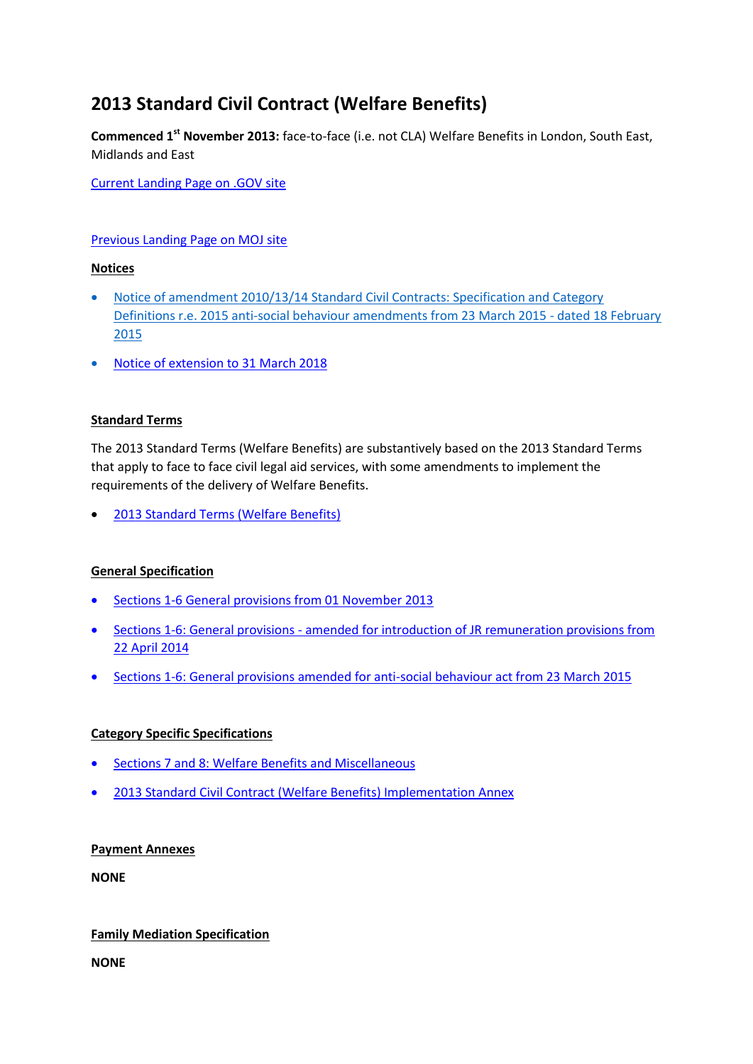# **2013 Standard Civil Contract (Welfare Benefits)**

**Commenced 1st November 2013:** face-to-face (i.e. not CLA) Welfare Benefits in London, South East, Midlands and East

[Current Landing Page on .GOV site](https://www.gov.uk/government/publications/standard-civil-contract-welfare-benefits-2013)

## [Previous Landing Page on MOJ site](http://webarchive.nationalarchives.gov.uk/20140713080754/http:/www.justice.gov.uk/legal-aid/contracts-and-tenders/2013-welfare-benefits-contract)

## **Notices**

- [Notice of amendment 2010/13/14 Standard Civil Contracts: Specification and Category](http://webarchive.nationalarchives.gov.uk/20150401041643/https:/www.gov.uk/government/uploads/system/uploads/attachment_data/file/406153/standard-civil-contract-amendment-notice.pdf)  [Definitions r.e. 2015 anti-social behaviour amendments from 23 March 2015 -](http://webarchive.nationalarchives.gov.uk/20150401041643/https:/www.gov.uk/government/uploads/system/uploads/attachment_data/file/406153/standard-civil-contract-amendment-notice.pdf) dated 18 February [2015](http://webarchive.nationalarchives.gov.uk/20150401041643/https:/www.gov.uk/government/uploads/system/uploads/attachment_data/file/406153/standard-civil-contract-amendment-notice.pdf)
- [Notice of extension to 31 March 2018](https://www.gov.uk/government/uploads/system/uploads/attachment_data/file/539636/contract-extension-letter.pdf)

### **Standard Terms**

The 2013 Standard Terms (Welfare Benefits) are substantively based on the 2013 Standard Terms that apply to face to face civil legal aid services, with some amendments to implement the requirements of the delivery of Welfare Benefits.

[2013 Standard Terms \(Welfare Benefits\)](http://webarchive.nationalarchives.gov.uk/20140713080754/http:/www.justice.gov.uk/downloads/legal-aid/civil-contracts/welfare-benefits-2013/standard-civil-contract-welfare-benefits.pdf)

# **General Specification**

- [Sections 1-6 General provisions from 01 November 2013](http://webarchive.nationalarchives.gov.uk/20140713080754/http:/www.justice.gov.uk/downloads/legal-aid/civil-contracts/welfare-benefits-2013/welfare-benefits-general-specification.pdf)
- Sections 1-6: General provisions [amended for introduction of JR remuneration provisions from](http://webarchive.nationalarchives.gov.uk/20140713080754/http:/www.justice.gov.uk/downloads/legal-aid/tenders/jr-proposal.pdf)  [22 April 2014](http://webarchive.nationalarchives.gov.uk/20140713080754/http:/www.justice.gov.uk/downloads/legal-aid/tenders/jr-proposal.pdf)
- [Sections 1-6: General provisions amended for anti-social behaviour act from 23 March 2015](http://webarchive.nationalarchives.gov.uk/20150401061426/https:/www.gov.uk/government/uploads/system/uploads/attachment_data/file/406170/2013-welfare-benefits-specification-2015-anti-social-behaviour-amendments.pdf)

# **Category Specific Specifications**

- [Sections 7 and 8: Welfare Benefits and Miscellaneous](http://webarchive.nationalarchives.gov.uk/20140713080754/http:/www.justice.gov.uk/downloads/legal-aid/civil-contracts/welfare-benefits-2013/2013-standard-civil-contract-specification.pdf)
- [2013 Standard Civil Contract \(Welfare Benefits\) Implementation Annex](http://webarchive.nationalarchives.gov.uk/20140713080754/http:/www.justice.gov.uk/downloads/legal-aid/civil-contracts/welfare-benefits-2013/welfare-benefits-implementation-plan.pdf)

#### **Payment Annexes**

**NONE**

#### **Family Mediation Specification**

**NONE**